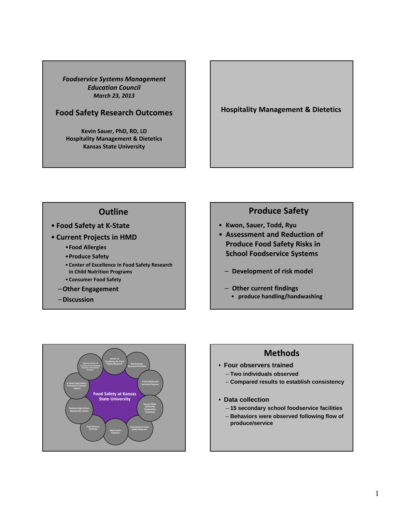*Foodservice Systems Management Education Council March 23, 2013*

### **Food Safety Research Outcomes**

**Kevin Sauer, PhD, RD, LD Hospitality Management & Dietetics Kansas State University**

**Hospitality Management & Dietetics**

# **Outline**

- **Food Safety at K‐State**
- **Current Projects in HMD**
	- •**Food Allergies**
	- •**Produce Safety**
	- **Center of Excellence in Food Safety Research in Child Nutrition Programs**
	- **Consumer Food Safety**
	- –**Other Engagement**
	- –**Discussion**

# **Produce Safety**

- **Kwon, Sauer, Todd, Ryu**
- **Assessment and Reduction of Produce Food Safety Risks in School Foodservice Systems**
	- **Development of risk model**
	- **Other current findings** • **produce handling/handwashing**



# **Methods**

- **Four observers trained**
	- **Two individuals observed**
	- **Compared results to establish consistency**
- **Data collection**
	- **15 secondary school foodservice facilities**
	- **Behaviors were observed following flow of produce/service**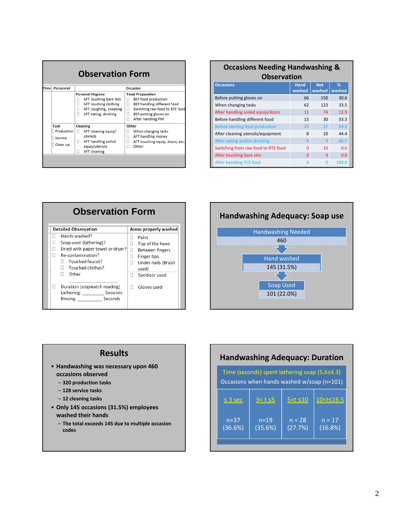| Time | Personnel                                 | Occasion                                                                                                                               |                                                                                                                                                                                                |  |  |
|------|-------------------------------------------|----------------------------------------------------------------------------------------------------------------------------------------|------------------------------------------------------------------------------------------------------------------------------------------------------------------------------------------------|--|--|
|      |                                           | <b>Personal Hygiene</b><br>AFT touching bare skin<br>AFT touching clothing<br>AFT coughing, sneezing<br>Ω<br>o<br>AFT eating, drinking | <b>Food Preparation</b><br><b>BEF</b> food production<br>o<br>BEF handling different food<br>o<br>Switching raw food to RTE food<br>о<br>о<br>BEF putting gloves on<br>о<br>After handling PHF |  |  |
|      | Task<br>Production<br>Service<br>Clean up | Cleaning<br>AFT cleaning equip/<br>o<br>utensils<br>AFT handling soiled<br>□<br>equip/utensils<br><b>AFT</b> cleaning<br>o             | Other<br>When changing tasks<br>o<br>AFT handling money<br>o<br>AFT touching equip, doors, etc.<br>□<br>п<br>Other:                                                                            |  |  |

|                                   | <b>Occasions Needing Handwashing &amp;</b> |                      |             |  |
|-----------------------------------|--------------------------------------------|----------------------|-------------|--|
|                                   | <b>Observation</b>                         |                      |             |  |
| <b>Occasions</b>                  | <b>Hand</b><br>washed                      | <b>Not</b><br>washed | %<br>washed |  |
| Before putting gloves on          | 66                                         | 150                  | 30.6        |  |
| When changing tasks               | 62                                         | 123                  | 33.5        |  |
| After handling soiled equip/doors | 11                                         | 74                   | 12.9        |  |
| Before handling different food    | 15                                         | 30                   | 33.3        |  |
| Before starting food production   | 25                                         | 17                   | 59.5        |  |

After cleaning utensils/equipment 8 10 44.4 After eating and/or drinking 198 4 66.7 Switching from raw food to RTE food 0 10 0.0 After touching bare skin and the control of the 4 0.0 After handling TCS food 4 0 100.0





### **Results**

- **Handwashing was necessary upon 460 occasions observed**
	- **320 production tasks**
	- **128 service tasks**
	- **12 cleaning tasks**
- **Only 145 occasions (31.5%) employees washed their hands**
	- **The total exceeds 145 due to multiple occasion codes**

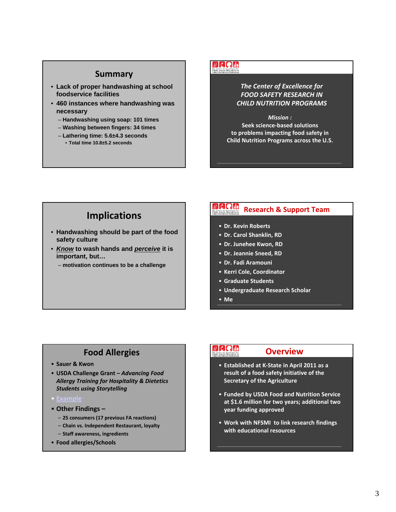# **Summary**

- **Lack of proper handwashing at school foodservice facilities**
- **460 instances where handwashing was necessary** 
	- **Handwashing using soap: 101 times**
	- **Washing between fingers: 34 times**
	- **Lathering time: 5.6±4.3 seconds** • **Total time 10.8±5.2 seconds**

### **NAQUO be Center of Excellence for**<br>**COD SAFETY RESEARCH IN:**<br>CHILD NUTTURN PROCEAME

*The Center of Excellence for FOOD SAFETY RESEARCH IN CHILD NUTRITION PROGRAMS*

*Mission :* **Seek science‐based solutions to problems impacting food safety in Child Nutrition Programs across the U.S.**

# **Implications**

- **Handwashing should be part of the food safety culture**
- *Know* **to wash hands and** *perceive* **it is important, but…**
	- **motivation continues to be a challenge**

#### $\mu$  do the **Research & Support Team** The Center of Excellence for<br>FOOD SAFETY RESEARCH IN

- **Dr. Kevin Roberts**
- **Dr. Carol Shanklin, RD**
- **Dr. Junehee Kwon, RD**
- **Dr. Jeannie Sneed, RD**
- **Dr. Fadi Aramouni**
- **Kerri Cole, Coordinator**
- **Graduate Students**
- **Undergraduate Research Scholar**
- **Me**

# **Food Allergies**

- **Sauer & Kwon**
- **USDA Challenge Grant –** *Advancing Food Allergy Training for Hospitality & Dietetics Students using Storytelling*
- 
- **Other Findings –**
	- **25 consumers (17 previous FA reactions)**
	- **Chain vs. Independent Restaurant, loyalty**
- **Staff awareness, ingredients** • **Food allergies/Schools**

# $U$ C Quo

### **Overview**

- **Established at K‐State in April 2011 as a result of a food safety initiative of the Secretary of the Agriculture**
- **Funded by USDA Food and Nutrition Service at \$1.6 million for two years; additional two year funding approved**
- **Work with NFSMI to link research findings with educational resources**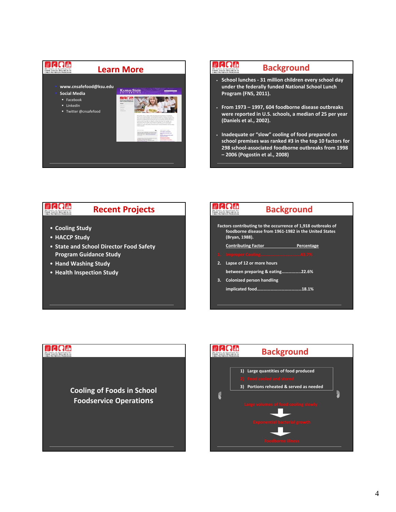

### **DRAN Background** he Center of Excellence for<br>OOD SAFETY RESEARCH IN • **School lunches ‐ 31 million children every school day under the federally funded National School Lunch Program (FNS, 2011).** • **From 1973 – 1997, 604 foodborne disease outbreaks were reported in U.S. schools, a median of 25 per year (Daniels et al., 2002).** • **Inadequate or "slow" cooling of food prepared on school premises was ranked #3 in the top 10 factors for 298 school‐associated foodborne outbreaks from 1998 – 2006 (Pogostin et al., 2008)**

### $\n **u c u**$ **Recent Projects** The Center of Excellence for<br>FOOD SAFETY RESEARCH IN<br>CHIID NUTRITION PROCRAMS

- **Cooling Study**
- **HACCP Study**

**MARTIO** 

- **State and School Director Food Safety Program Guidance Study**
- **Hand Washing Study**
- **Health Inspection Study**



# **Cooling of Foods in School Foodservice Operations**

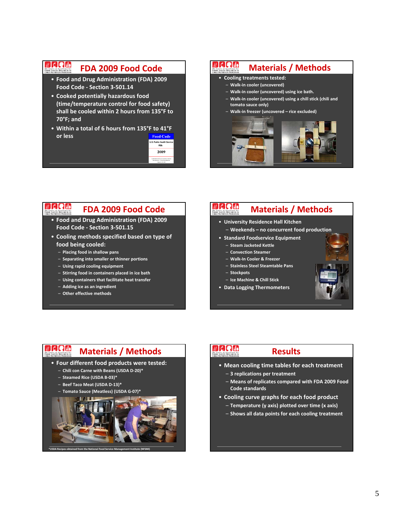### **MERTIN FDA 2009 Food Code**

- **Food and Drug Administration (FDA) 2009 Food Code ‐ Section 3‐501.14**
- **Cooked potentially hazardous food (time/temperature control for food safety) shall be cooled within 2 hours from 135°F to 70°F; and**
- **Within a total of 6 hours from 135°F to 41°F or less Food Code**



#### **DRAN Materials / Methods** he Center of Exce<br>OOD SAFETY RES

- **Cooling treatments tested:**
	- **Walk‐in cooler (uncovered)**
- **Walk‐in cooler (uncovered) using ice bath.**
- **Walk‐in cooler (uncovered) using a chill stick (chili and tomato sauce only)**
- **Walk‐in freezer (uncovered rice excluded)**



#### $\n **Q**$   $\n **Q**$   $\n **U**$ **FDA 2009 Food Code** The Center of Excellence for<br>FOOD SAFETY RESEARCH IN

- **Food and Drug Administration (FDA) 2009 Food Code ‐ Section 3‐501.15**
- **Cooling methods specified based on type of food being cooled:**
	- **Placing food in shallow pans**
	- **Separating into smaller or thinner portions**
	- **Using rapid cooling equipment**
	- **Stirring food in containers placed in ice bath**
	- **Using containers that facilitate heat transfer**
	- **Adding ice as an ingredient**
	- **Other effective methods**

#### $M$ Clelulol **Materials / Methods** he Center of Excellence for<br>OOD SAFETY RESEARCH IN

- **University Residence Hall Kitchen**
	- **Weekends no concurrent food production**
- **Standard Foodservice Equipment**
	- **Steam Jacketed Kettle**
	- **Convection Steamer**
	- **Walk‐In Cooler & Freezer**
	- **Stainless Steel Steamtable Pans**
	- **Stockpots**
	- **Ice Machine & Chill Stick**
- **Data Logging Thermometers**



### **MARTIO Materials / Methods**

### • **Four different food products were tested:**

- **Chili con Carne with Beans (USDA D‐20)\***
- **Steamed Rice (USDA B‐03)\***
- **Beef Taco Meat (USDA D‐13)\***
- **Tomato Sauce (Meatless) (USDA G‐07)\***



**\*USDA Recipes obtained from the National Food Service Management Institute (NFSMI)**

# $U$ C Quo

### **Results**

- **Mean cooling time tables for each treatment**
	- **3 replications per treatment**
	- **Means of replicates compared with FDA 2009 Food Code standards**
- **Cooling curve graphs for each food product**
	- **Temperature (y axis) plotted over time (x axis)**
	- **Shows all data points for each cooling treatment**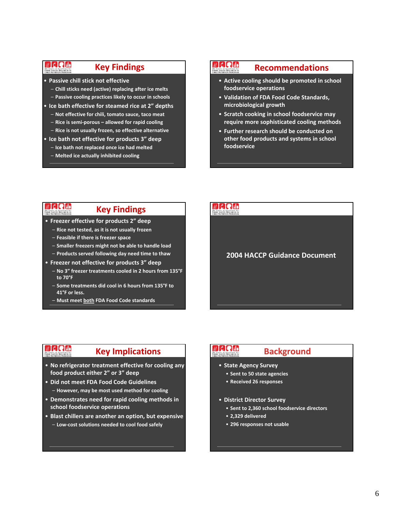### $\n **E**$ The Center of Excellence for

### **Key Findings**

- **Passive chill stick not effective**
	- **Chill sticks need (active) replacing after ice melts** – **Passive cooling practices likely to occur in schools**
	-
- **Ice bath effective for steamed rice at 2" depths** – **Not effective for chili, tomato sauce, taco meat**
	- **Rice is semi‐porous allowed for rapid cooling**
	- **Rice is not usually frozen, so effective alternative**
- **Ice bath not effective for products 3" deep**
- **Ice bath not replaced once ice had melted**
- **Melted ice actually inhibited cooling**

### **NAQUO Recommendations** he Center of Excellence for<br>OOD SAFETY RESEARCH IN

- **Active cooling should be promoted in school foodservice operations**
- **Validation of FDA Food Code Standards, microbiological growth**
- **Scratch cooking in school foodservice may require more sophisticated cooling methods**
- **Further research should be conducted on other food products and systems in school foodservice**

### $\n **u c u v**$ The Center of Excellence for

### **Key Findings**

- **Freezer effective for products 2" deep**
	- **Rice not tested, as it is not usually frozen**
	- **Feasible if there is freezer space**
	- **Smaller freezers might not be able to handle load**
	- **Products served following day need time to thaw**
- **Freezer not effective for products 3" deep**
	- **No 3" freezer treatments cooled in 2 hours from 135°F to 70°F**
	- **Some treatments did cool in 6 hours from 135°F to 41°F or less.**
	- **Must meet both FDA Food Code standards**

### $U$  d Q  $U_0$

### **2004 HACCP Guidance Document**

# **MCQUO**

# **Key Implications**

- **No refrigerator treatment effective for cooling any food product either 2" or 3" deep**
- **Did not meet FDA Food Code Guidelines** – **However, may be most used method for cooling**
- **Demonstrates need for rapid cooling methods in school foodservice operations**
- **Blast chillers are another an option, but expensive** – **Low‐cost solutions needed to cool food safely**

# $\nu$  dela

# **Background**

- **State Agency Survey**
	- **Sent to 50 state agencies**
	- **Received 26 responses**
- **District Director Survey**
	- **Sent to 2,360 school foodservice directors**
	- **2,329 delivered**
	- **296 responses not usable**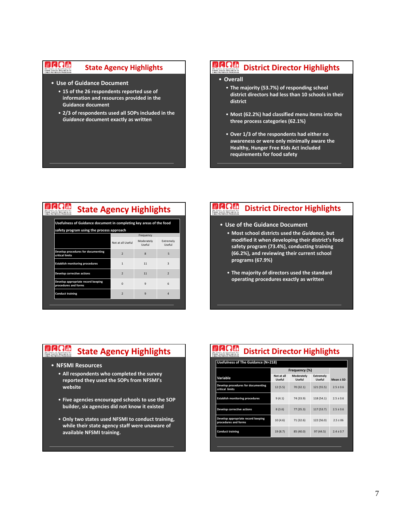#### **MARTIO State Agency Highlights** 'he Center of Excellence for<br>'OOD SAFETY RESEARCH IN

- **Use of Guidance Document**
	- **15 of the 26 respondents reported use of information and resources provided in the Guidance document**
	- **2/3 of respondents used all SOPs included in the** *Guidance* **document exactly as written**

# **District Director Highlights**

### • **Overall**

- **The majority (53.7%) of responding school district directors had less than 10 schools in their district**
- **Most (62.2%) had classified menu items into the three process categories (62.1%)**
- **Over 1/3 of the respondents had either no awareness or were only minimally aware the Healthy, Hunger Free Kids Act included requirements for food safety**

| <b>State Agency Highlights</b>                                      |                          |                                   |                          |  |
|---------------------------------------------------------------------|--------------------------|-----------------------------------|--------------------------|--|
| Usefulness of Guidance document in completing key areas of the food |                          |                                   |                          |  |
| safety program using the process approach                           |                          |                                   |                          |  |
|                                                                     | Not at all Useful        | Frequency<br>Moderately<br>Useful | Extremely<br>Useful      |  |
| Develop procedures for documenting<br>critical limits               | $\overline{\phantom{a}}$ | $\mathbf{8}$                      | 5                        |  |
| <b>Establish monitoring procedures</b>                              | $\mathbf{1}$             | 11                                | $\overline{3}$           |  |
| Develop corrective actions                                          | $\overline{\phantom{a}}$ | 11                                | $\overline{\phantom{a}}$ |  |
| Develop appropriate record keeping<br>procedures and forms          | $\Omega$                 | $\mathbf{q}$                      | 6                        |  |
| <b>Conduct training</b>                                             | $\overline{\phantom{a}}$ | $\mathbf{q}$                      | $\Delta$                 |  |
|                                                                     |                          |                                   |                          |  |

#### $\mathbb{Z}$  deck  $\mathbb{C}$ **District Director Highlights** The Center of Excellence for<br>FOOD SAFETY RESEARCH IN

- **Use of the Guidance Document**
	- **Most school districts used the** *Guidance,* **but modified it when developing their district's food safety program (73.4%), conducting training (66.2%), and reviewing their current school programs (67.9%)**
	- **The majority of directors used the standard operating procedures exactly as written**

### **MANG State Agency Highlights**

- **NFSMI Resources**
	- **All respondents who completed the survey reported they used the SOPs from NFSMI's website**
	- **Five agencies encouraged schools to use the SOP builder, six agencies did not know it existed**
	- **Only two states used NFSMI to conduct training, while their state agency staff were unaware of available NFSMI training.**

# **District Director Highlights**

|                                                            | Frequency (%)               |                      |                            |               |
|------------------------------------------------------------|-----------------------------|----------------------|----------------------------|---------------|
| Variable                                                   | Not at all<br><b>Useful</b> | Moderately<br>Useful | Extremely<br><b>Useful</b> | Mean ± SD     |
| Develop procedures for documenting<br>critical limits      | 12(5.5)                     | 70 (32.1)            | 121 (55.5)                 | $2.5 + 0.6$   |
| <b>Establish monitoring procedures</b>                     | 9(4.1)                      | 74 (33.9)            | 118 (54.1)                 | $2.5 + 0.6$   |
| Develop corrective actions                                 | 8(3.6)                      | 77 (35.3)            | 117 (53.7)                 | $2.5 \pm 0.6$ |
| Develop appropriate record keeping<br>procedures and forms | 10(4.6)                     | 71 (32.6)            | 122 (56.0)                 | $2.5 \pm 06$  |
| <b>Conduct training</b>                                    | 19 (8.7)                    | 85 (40.0)            | 97 (44.5)                  | $7.4 + 0.7$   |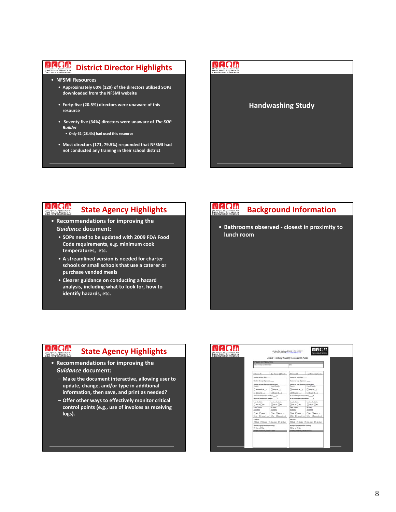### VCCCC **District Director Highlights**

- **NFSMI Resources**
	- **Approximately 60% (129) of the directors utilized SOPs downloaded from the NFSMI website**
	- **Forty‐five (20.5%) directors were unaware of this resource**
	- **Seventy five (34%) directors were unaware of** *The SOP Builder*
		- **Only 62 (28.4%) had used this resource**
	- **Most directors (171, 79.5%) responded that NFSMI had not conducted any training in their school district**



#### $\n **u c u v**$ **State Agency Highlights** The Center of Excellence for<br>FOOD SAFETY RESEARCH IN

- **Recommendations for improving the** *Guidance* **document:**
	- **SOPs need to be updated with 2009 FDA Food Code requirements, e.g. minimum cook temperatures, etc.**
	- **A streamlined version is needed for charter schools or small schools that use a caterer or purchase vended meals**
	- **Clearer guidance on conducting a hazard analysis, including what to look for, how to identify hazards, etc.**

#### $U$  do  $U$ **Background Information** The Center of Excellence for<br>FOOD SAFETY RESEARCH IN:<br>Cuito Nutrotton Boogh Life

• **Bathrooms observed ‐ closest in proximity to lunch room**

### **DRAM State Agency Highlights**

- **Recommendations for improving the** *Guidance* **document:**
	- **Make the document interactive, allowing user to update, change, and/or type in additional information, then save, and print as needed?**
	- **Offer other ways to effectively monitor critical control points (e.g., use of invoices as receiving logs).**

|                                                      | <b>School Sample Carle Humber</b>                    |                                                               | <b>Take</b>                                                      |  |
|------------------------------------------------------|------------------------------------------------------|---------------------------------------------------------------|------------------------------------------------------------------|--|
|                                                      |                                                      |                                                               |                                                                  |  |
| Retteress \$1.                                       | T Male or C Female                                   | Reference #2                                                  | □ Mature □ Female                                                |  |
| <b>Standard Band area</b>                            |                                                      | <b>Translate of based sinks:</b>                              |                                                                  |  |
| <b>Number of stop dispensers</b>                     |                                                      | <b>Number of song dispensers</b>                              |                                                                  |  |
|                                                      | <b>Hunder of sing dispenses with product</b>         | Number of sing illigement with product                        |                                                                  |  |
| Fawerin                                              | <b>Fauret Hender</b>                                 | <b>Laures</b>                                                 | <b>Faunt Haruler</b>                                             |  |
| Antonio II                                           | D High II                                            |                                                               |                                                                  |  |
| News 1                                               | C double in                                          | November 1<br>If wood imposter itsilig: ?                     | C dealers 1                                                      |  |
|                                                      |                                                      | 40 reconst temperature reading: ______7                       |                                                                  |  |
| <b>Sonia Auxiliative:</b><br>$\Box$ for $w \Box$ for | <b>Lookins Australia</b><br>$\Box$ for at $\Box$ for | <b>Song Available</b><br>$\Box$ We are $\Box$ Not             | <b>Lenthan Available:</b><br>$\square$ for at $\square$ for      |  |
| <b>Paper Towards</b>                                 | Air Drum                                             | <b><i>Paper Towelro</i></b>                                   | Air Dryer:                                                       |  |
| Australia ?                                          | Available?                                           | Available?                                                    | Available!                                                       |  |
| $\square$ No. $\square$ Am $\sigma$                  | Div Days<br>De Dennis   De Dennis                    |                                                               | $\Box w \ \Box w = \ \Box w \ \Box w =$<br>De Denne J De Denne J |  |
| <b>Exit door</b>                                     | Chief Chevde Chief Cheber                            | <b>Exit door!</b>                                             | Chief Chande Chun plan Chiefer                                   |  |
| Prompty/signage for hand exciting<br>□ to or □ to    |                                                      | Prompts/vignage for lease wanting:<br>$\Box$ for at $\Box$ As |                                                                  |  |
| <b>OTHER COMMUNICATIONS STATE</b>                    |                                                      | CONTRACTOR COMMUNICATIONS                                     |                                                                  |  |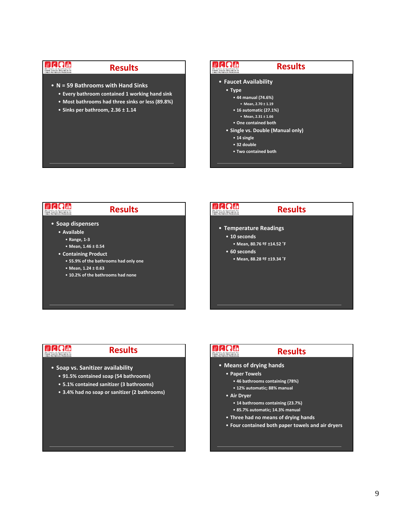### **MCQUO** The Center of Excellence for<br>FOOD SAFETY RESEARCH IN

### **Results**

- **N = 59 Bathrooms with Hand Sinks**
	- **Every bathroom contained 1 working hand sink**
	- **Most bathrooms had three sinks or less (89.8%)**
	- **Sinks per bathroom, 2.36 ± 1.14**

### $\mathbb{Z}$ Calo **Results be Center of Excellence for**<br>**COD SAFETY RESEARCH IN:**<br>CHILD NUTTURN PROCEAME • **Faucet Availability** • **Type** • **44 manual (74.6%)** • **Mean, 2.70 ± 1.19** • **16 automatic (27.1%)** • **Mean, 2.31 ± 1.66** • **One contained both** • **Single vs. Double (Manual only)** • **14 single** • **32 double** • **Two contained both**

### $\n **u c u v**$  $U$ C Quo **Results Results** The Center of Excellence for<br>FOOD SAFETY RESEARCH IN<br>CHIID NUTRITION PROCRAMS The Center of Excellence for<br>FOOD SAFETY RESEARCH IN:<br>CHILD NUTRITION PROCRAMS • **Soap dispensers** • **Temperature Readings** • **Available** • **10 seconds** • **Range, 1‐3** • **Mean, 80.76 ºF ±14.52 ˚F** • **Mean, 1.46 ± 0.54** • **60 seconds** • **Containing Product** • **Mean, 88.28 ºF ±19.34 ˚F** • **55.9% of the bathrooms had only one** • **Mean, 1.24 ± 0.63** • **10.2% of the bathrooms had none**

# **VERHI**

# **Results**

- **Soap vs. Sanitizer availability**
	- **91.5% contained soap (54 bathrooms)**
	- **5.1% contained sanitizer (3 bathrooms)**
	- **3.4% had no soap or sanitizer (2 bathrooms)**

# $\n **L**$   $\overline{C}$   $\overline{C}$   $\overline{U}$

### **Results**

- **Means of drying hands**
	- **Paper Towels**
		- **46 bathrooms containing (78%)**
		- **12% automatic; 88% manual**
	- **Air Dryer**
		- **14 bathrooms containing (23.7%)**
		- **85.7% automatic; 14.3% manual**
	- **Three had no means of drying hands**
	- **Four contained both paper towels and air dryers**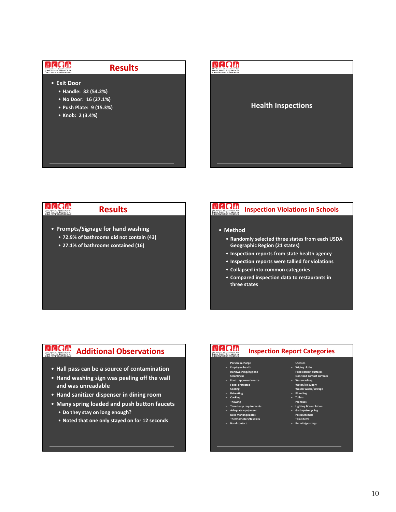



#### $\n **u c u v**$ **Results** The Center of Excellence for<br>FOOD SAFETY RESEARCH IN<br>CHIID NUTRITION PROCRAMS

• **Prompts/Signage for hand washing**

- **72.9% of bathrooms did not contain (43)**
- **27.1% of bathrooms contained (16)**

### $\n **L**$ **Inspection Violations in Schools** The Center of Excellence for<br>FOOD SAFETY RESEARCH IN<br>CHILD NUTRITION PROGRAMS

### • **Method**

- **Randomly selected three states from each USDA Geographic Region (21 states)**
- **Inspection reports from state health agency**
- **Inspection reports were tallied for violations**
- **Collapsed into common categories**
- **Compared inspection data to restaurants in three states**

### **MARIO Additional Observations**

- **Hall pass can be a source of contamination**
- **Hand washing sign was peeling off the wall and was unreadable**
- **Hand sanitizer dispenser in dining room**
- **Many spring loaded and push button faucets** • **Do they stay on long enough?**
	- **Noted that one only stayed on for 12 seconds**

### **NACIO Inspection Report Categories**

### – **Person in charge**

- **Employee health** – **Handwashing/hygiene**
- **Cleanliness**
- **Food: approved source** – **Food: protected**
- **Cooling**
- **Reheating**
- **Cooking** – **Thawing**
- **Time‐temp requirements**
- **Adequate equipment**
- **Date marking/lables** – **Thermometers/test kits**
- **Hand contact**
- **Warewashing** – **Water/ice supply**
- **Waster water/sewage**
- **Plumbing** – **Toilets**

– **Utensils** – **Wiping cloths** – **Food contact surfaces** – **Non‐food contact surfaces**

- **Premises**
- **Lighting & Ventilation** – **Garbage/recycling**
- **Pests/Animals**
- **Toxic items** – **Permits/postings**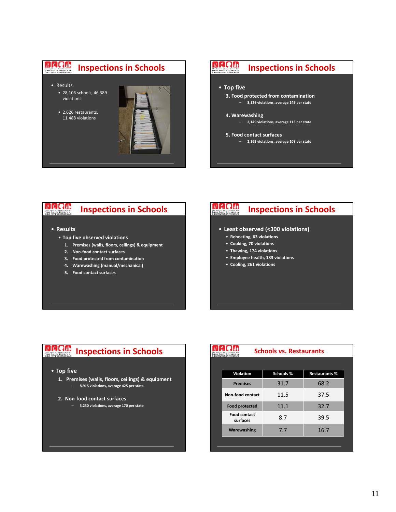



#### $\n **u c u v**$ **Inspections in Schools** The Center of Excellence for<br>FOOD SAFETY RESEARCH IN<br>CHILD NUTRITION PROCRAMS

- **Results**
	- **Top five observed violations**
		- **1. Premises (walls, floors, ceilings) & equipment**
		- **2. Non‐food contact surfaces**
		- **3. Food protected from contamination**
		- **4. Warewashing (manual/mechanical)**
		- **5. Food contact surfaces**

#### $U$ **C** Quo **Inspections in Schools** The Center of Excellence for<br>FOOD SAFETY RESEARCH IN:<br>Cuito Nutrotton Boogh Life

- **Least observed (<300 violations)**
	- **Reheating, 63 violations**
	- **Cooking, 70 violations**
	- **Thawing, 174 violations**
	- **Employee health, 183 violations**
	- **Cooling, 261 violations**

# **Inspections in Schools**

### • **Top five**

- **1. Premises (walls, floors, ceilings) & equipment** – **8,915 violations, average 425 per state**
- **2. Non‐food contact surfaces**
	- **3,230 violations, average 170 per state**

| <b>Schools vs. Restaurants</b><br><b>ILD NUTRITION PROGRAMS</b> |                      |  |  |
|-----------------------------------------------------------------|----------------------|--|--|
|                                                                 |                      |  |  |
| Schools %                                                       | <b>Restaurants %</b> |  |  |
| 31.7                                                            | 68.2                 |  |  |
| 11.5                                                            | 37.5                 |  |  |
| 11.1                                                            | 32.7                 |  |  |
| 8.7                                                             | 39.5                 |  |  |
| 7.7                                                             | 16.7                 |  |  |
|                                                                 |                      |  |  |